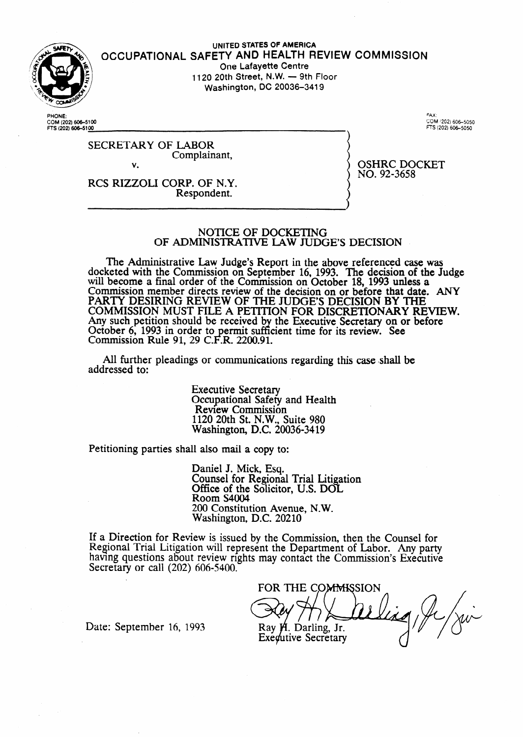

#### UNITED STATES Of AMERICA **OCCUPATIONAL SAFETY** AND **HEALTH REVIEW COMMISSION One Lafayette Centre 1 I** 20 **20th Street, N.W. - 9th** Floor **Washington, DC 20036-3419**

PHONE:<br>COM (202) 606–510<br>FTS (202) 606–51<u>00</u>

FAX:<br>CO**M** (202) 606–505 ms **(202) 6OC5050** 

SECRETARY OF LABOR Complainant, v.

OSHRC DOCKET NO. 92-3658

RCS RIZZOLI CORP. OF N.Y. Respondent.

#### NOTICE OF DOCKETING OF ADMINISTRATIVE LAW JUDGE'S DECISION

The Administrative Law Judge's Report in the above referenced case was docketed with the Commission on September 16, 1993. The decision of the Judge will become a final order of the Commission on October 18, 1993 unless a Commission member directs review of the decision on or before that date. ANY PARTY DESIRING REVIEW OF THE JUDGE'S DECISION BY THE COMMISSION MUST FILE A PETITION FOR DISCRETIONARY REVIEW. Any such petition should be received by the Executive Secretary on or before October 6, 1993 in order to permit sufficient time for its review. See Commission Rule 91, 29 C.F.R. 2200.91.

All further pleadings or communications regarding this case shall be addressed to:

> Executive Secretary Occupational Safety and Health Review Commission 1120 20th St. N.W., Suite 980 Washington, D.C. 20036-34 19

Petitioning parties shall also mail a copy to:

Daniel J. Mick, Esq. Counsel for Regional Trial Litigation Office of the Solicitor, U.S. DOL Room S4004 200 Constitution Avenue, N.W. Washington, D.C. 20210

If a Direction for Review is issued by the Commission, then the Counsel for Regional Trial Litigation will represent the Department of Labor. Any party having questions about review rights may contact the Commission's Executive Secretary or call (202) 606-5400.

FOR THE COMMISSION Ray *H.* Darling, Jr. Exequtive Secretary

Date: September 16, 1993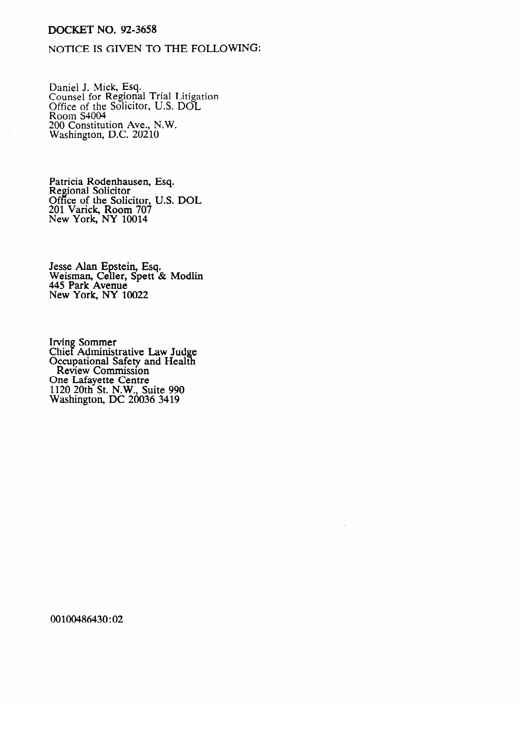## **DOCKET NO. 92-3658**

## NOTICE IS GIVEN TO THE FOLLOWING:

Daniel J. Mick, Esq.<br>Counsel for Regional Trial Litigation<br>Office of the Solicitor, U.S. DOL Room S4004 200 Constitution Ave., N.W.<br>Washington, D.C. 20210

Patricia Rodenhausen, Esq.<br>Regional Solicitor<br>Office of the Solicitor, U.S. DOL<br>201 Varick, Room 707<br>New York, NY 10014

Jesse Alan Epstein, Esq.<br>Weisman, Celler, Spett & Modlin 445 Park Avenue New York, NY 10022

Irving Sommer<br>Chief Administrative Law Judge<br>Occupational Safety and Health<br>Review Commission<br>One Lafayette Centre<br>1120 20th St. N.W., Suite 990<br>Washington, DC 20036 3419

00100486430:02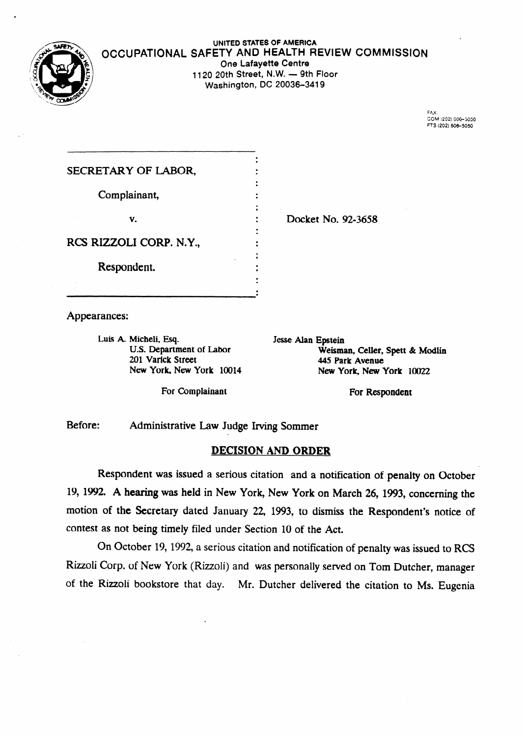

### UNITED STATES OF AMERICA **OCCUPATIONAL SAFETY** AND HEALTH **REVIEW COMMISSION One Lafayette Centre 1120 20th Street, N.W. - 9th Floor Washington, DC 20036-3419**

FAX:<br>COM (202) 60<del>6–</del>5050 **ns(202)606-5050** 

| SECRETARY OF LABOR,     |            |
|-------------------------|------------|
| Complainant,            |            |
| v.                      | Docket No. |
| RCS RIZZOLI CORP. N.Y., |            |
| Respondent.             |            |
|                         |            |

Appearances:

**Luis A Micheli, Esq. Jesse Alan Epstein 201 Varick Street 445 Park Avenue** 

U.S. Department of Labor **Weisman, Celler, Spett & Modlin 201 Varick Street** New York, New York 10022

92-3658

For Complainant **For Respondent** 

Before: Administrative Law Judge Irving Sommer

# **DECISION AND ORDER**

Respondent was issued a serious citation and a notification of penalty on October 19, 1992. A hearing was held in New York, New York on March 26, 1993, concerning the motion of the Secretary dated January 22, 1993, to dismiss the Respondent's notice of contest as not being timely filed under Section 10 of the Act.

On October 19, 1992, a serious citation and notification of penalty was issued to RCS Rizzoli Corp. of New York (Rizzoli) and was personally served on Tom Dutcher, manager of the Rizzoli bookstore that day. Mr. Dutcher delivered the citation to Ms. Eugenia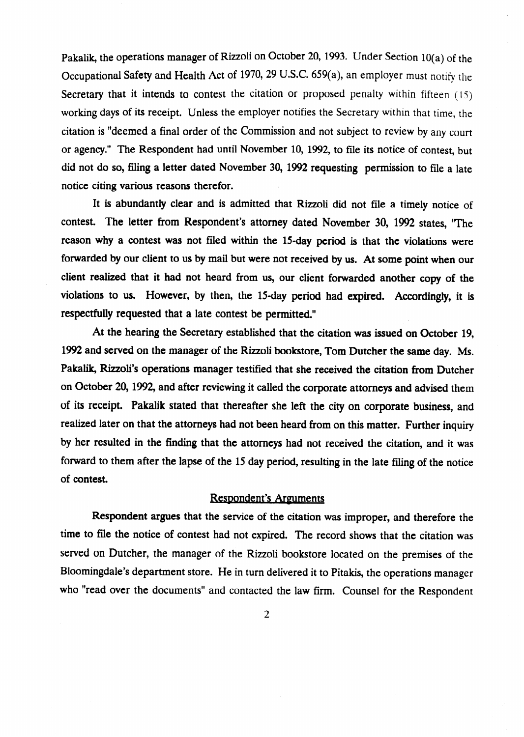Pakalik, the operations manager of Rizzoli on October 20, 1993. Under Section  $10(a)$  of the Occupational Safety and Health Act of 1970, 29 U.S.C. 659(a), an employer must notify the Secretary that it intends to contest the citation or proposed penalty within fifteen (15) working days of its receipt. Unless the employer notifies the Secretary within that time, the citation is "deemed a final order of the commission and not subject to review by any court or agency." The Respondent had until November 10, 1992, to file its notice of contest, but did not do so, fling a letter dated November 30, 1992 requesting permission to file a late notice citing various reasons therefor.

It is abundantly clear and is admitted that Rizzoli did not file a timely notice of contest. The letter from Respondent's attorney dated November 30, 1992 states, 'The reason why a contest was not filed within the 15-day period is that the violations were forwarded by our client to us by mail but were not received by us. At some point when our client realized that it had not heard from us, our client forwarded another copy of the violations to us. However, by then, the 15-day period had expired. Accordingly, it is respectfully requested that a late contest be permitted."

At the hearing the Secretary established that the citation was issued on October 19, 1992 and served on the manager of the Rizzoli bookstore, Tom Dutcher the same day. Ms. Pakalik, Rizzoli's operations manager testified that she received the citation from Dutcher on October 20, 1992, and after reviewing it called the corporate attorneys and advised them of its receipt. Pakalik stated that thereafter she left the city on corporate business, and realized later on that the attorneys had not been heard from on this matter. Further inquiry by her resulted in the finding that the attorneys had not received the citation, and it was forward to them after the lapse of the 15 day period, resulting in the late filing of the notice of contest.

### Respondent's Arguments

Respondent argues that the service of the citation was improper, and therefore the time to file the notice of contest had not expired. The record shows that the citation was served on Dutcher, the manager of the Rizzoli bookstore located on the premises of the Bloomingdale's department store. He in turn delivered it to Pitakis, the operations manager who "read over the documents" and contacted the law firm. Counsel for the Respondent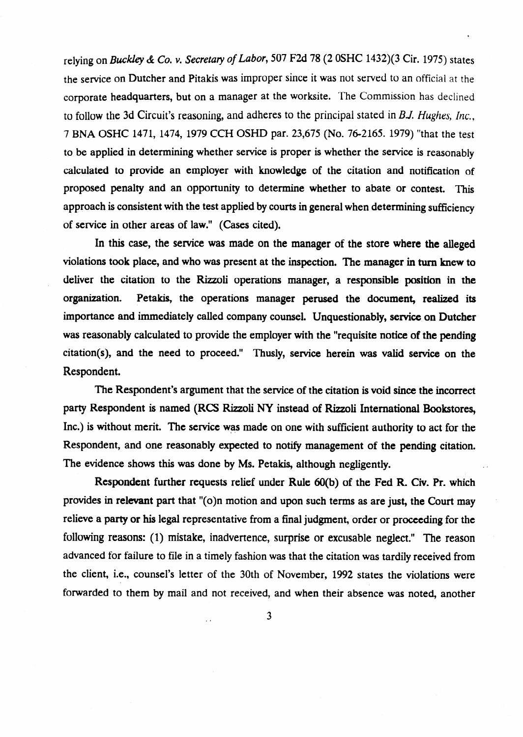*relying on Buckley & Co. v. Secretary of Labor, 507 F2d 78 (2 0SHC 1432)(3 Cir. 1975) states* the service on Dutcher and Pitakis was improper since it was not served to an official at the corporate headquarters, but on a manager at the worksite. The Commission has declined to follow the 3d Circuit's reasoning, and adheres to the principal stated in  $B\!J$ . Hughes, Inc., 7 BNA OSHC 1471, 1474, 1979 CCH OSHD par. 23,675 (No. 76-2165. 1979) "that the test to be applied in determining whether service is proper is whether the service is reasonably calculated to provide an employer with knowledge of the citation and notification of proposed penalty and an opportunity to determine whether to abate or contest. 'Ihis approach is consistent with the test applied by courts in general when determining sufficiency of service in other areas of law." (Cases cited).

In this case, the service was made on the manager of the store where the alleged violations took place, and who was present at the inspection. The manager in turn knew to deliver the citation to the Rizzoli operations manager, a responslible position in the organization. Petakis, the operations manager perused the document, realized its importance and immediately called company counsel. Unquestionably, service on Dutcher was reasonably calculated to provide the employer with the "requisite notice of the pending  $citation(s)$ , and the need to proceed." Thusly, service herein was valid service on the Respondent.

The Respondent's argument that the service of the citation is void since the incorrect party Respondent is named (RCS Rizzoli NY instead of Rizzoli International Bookstores, Inc.) is without merit. The service was made on one with sufficient authority to act for the Respondent, and one reasonably expected to notify management of the pending citation. The evidence shows this was done by Ms. Petakis, although negligently.

Respondent further requests relief under Rule 60(b) of the Fed R. Civ. Pr. which provides in relevant part that "(o)n motion and upon such terms as are just, the Court may relieve a party or his legal representative from a final judgment, order or proceeding for the following reasons: (1) mistake, inadvertence, surprise or excusable neglect." The reason advanced for failure to file in a timely fashion was that the citation was tardily received from the client, i.e., counsel's letter of the 30th of November, 1992 states the violations were forwarded to them by mail and not received, and when their absence was noted, another

 $\overline{\mathbf{3}}$ 

 $\ddot{\phantom{a}}$